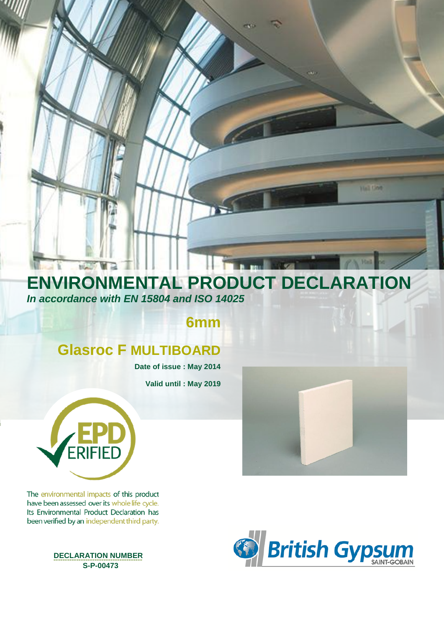# **ENVIRONMENTAL PRODUCT DECLARATION** *In accordance with EN 15804 and ISO 14025*

**6mm** 

# **Glasroc F MULTIBOARD**

**Date of issue : May 2014**

**Valid until : May 2019**



**NGOV** M

The environmental impacts of this product have been assessed over its whole life cycle. Its Environmental Product Declaration has been verified by an independent third party.

 **DECLARATION NUMBER --------------------------------------- S-P-00473**



**Hall God**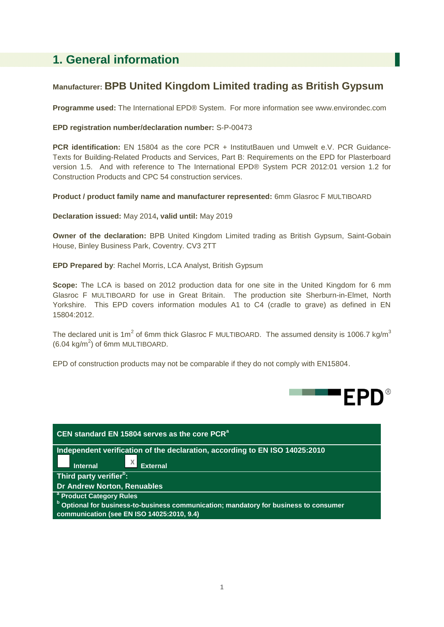## **1. General information**

### **Manufacturer: BPB United Kingdom Limited trading as British Gypsum**

**Programme used:** The International EPD® System. For more information see www.environdec.com

#### **EPD registration number/declaration number:** S-P-00473

**PCR identification:** EN 15804 as the core PCR + InstitutBauen und Umwelt e.V. PCR Guidance-Texts for Building-Related Products and Services, Part B: Requirements on the EPD for Plasterboard version 1.5. And with reference to The International EPD® System PCR 2012:01 version 1.2 for Construction Products and CPC 54 construction services.

**Product / product family name and manufacturer represented:** 6mm Glasroc F MULTIBOARD

**Declaration issued:** May 2014**, valid until:** May 2019

**Owner of the declaration:** BPB United Kingdom Limited trading as British Gypsum, Saint-Gobain House, Binley Business Park, Coventry. CV3 2TT

**EPD Prepared by**: Rachel Morris, LCA Analyst, British Gypsum

**Scope:** The LCA is based on 2012 production data for one site in the United Kingdom for 6 mm Glasroc F MULTIBOARD for use in Great Britain. The production site Sherburn-in-Elmet, North Yorkshire. This EPD covers information modules A1 to C4 (cradle to grave) as defined in EN 15804:2012.

The declared unit is 1m<sup>2</sup> of 6mm thick Glasroc F MULTIBOARD. The assumed density is 1006.7 kg/m<sup>3</sup>  $(6.04 \text{ kg/m}^2)$  of 6mm MULTIBOARD.

EPD of construction products may not be comparable if they do not comply with EN15804.



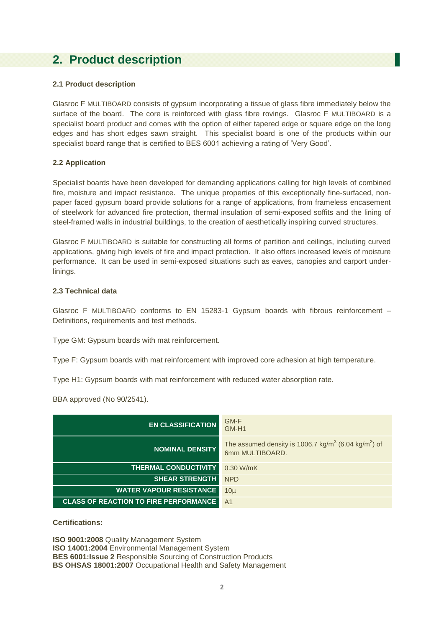## **2. Product description**

#### **2.1 Product description**

Glasroc F MULTIBOARD consists of gypsum incorporating a tissue of glass fibre immediately below the surface of the board. The core is reinforced with glass fibre rovings. Glasroc F MULTIBOARD is a specialist board product and comes with the option of either tapered edge or square edge on the long edges and has short edges sawn straight. This specialist board is one of the products within our specialist board range that is certified to BES 6001 achieving a rating of 'Very Good'.

#### **2.2 Application**

Specialist boards have been developed for demanding applications calling for high levels of combined fire, moisture and impact resistance. The unique properties of this exceptionally fine-surfaced, nonpaper faced gypsum board provide solutions for a range of applications, from frameless encasement of steelwork for advanced fire protection, thermal insulation of semi-exposed soffits and the lining of steel-framed walls in industrial buildings, to the creation of aesthetically inspiring curved structures.

Glasroc F MULTIBOARD is suitable for constructing all forms of partition and ceilings, including curved applications, giving high levels of fire and impact protection. It also offers increased levels of moisture performance. It can be used in semi-exposed situations such as eaves, canopies and carport underlinings.

#### **2.3 Technical data**

Glasroc F MULTIBOARD conforms to EN 15283-1 Gypsum boards with fibrous reinforcement – Definitions, requirements and test methods.

Type GM: Gypsum boards with mat reinforcement.

Type F: Gypsum boards with mat reinforcement with improved core adhesion at high temperature.

Type H1: Gypsum boards with mat reinforcement with reduced water absorption rate.

BBA approved (No 90/2541).

| <b>EN CLASSIFICATION</b>                     | GM-F<br>GM-H1                                                                                   |
|----------------------------------------------|-------------------------------------------------------------------------------------------------|
| <b>NOMINAL DENSITY</b>                       | The assumed density is 1006.7 kg/m <sup>3</sup> (6.04 kg/m <sup>2</sup> ) of<br>6mm MULTIBOARD. |
| <b>THERMAL CONDUCTIVITY</b>                  | 0.30 W/mK                                                                                       |
| <b>SHEAR STRENGTH</b>                        | <b>NPD</b>                                                                                      |
| <b>WATER VAPOUR RESISTANCE</b>               | $10\mu$                                                                                         |
| <b>CLASS OF REACTION TO FIRE PERFORMANCE</b> | A <sub>1</sub>                                                                                  |

**Certifications:**

**ISO 9001:2008** Quality Management System **ISO 14001:2004** Environmental Management System **BES 6001:Issue 2** Responsible Sourcing of Construction Products **BS OHSAS 18001:2007** Occupational Health and Safety Management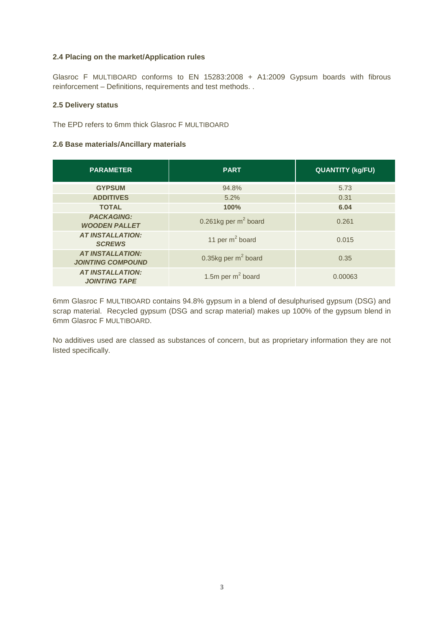#### **2.4 Placing on the market/Application rules**

Glasroc F MULTIBOARD conforms to EN 15283:2008 + A1:2009 Gypsum boards with fibrous reinforcement – Definitions, requirements and test methods. .

#### **2.5 Delivery status**

The EPD refers to 6mm thick Glasroc F MULTIBOARD

#### **2.6 Base materials/Ancillary materials**

| <b>PARAMETER</b>                                    | <b>PART</b>                         | <b>QUANTITY (kg/FU)</b> |
|-----------------------------------------------------|-------------------------------------|-------------------------|
| <b>GYPSUM</b>                                       | 94.8%                               | 5.73                    |
| <b>ADDITIVES</b>                                    | 5.2%                                | 0.31                    |
| <b>TOTAL</b>                                        | 100%                                | 6.04                    |
| <b>PACKAGING:</b><br><b>WOODEN PALLET</b>           | 0.261 $kg$ per m <sup>2</sup> board | 0.261                   |
| <b>AT INSTALLATION:</b><br><b>SCREWS</b>            | 11 per $m^2$ board                  | 0.015                   |
| <b>AT INSTALLATION:</b><br><b>JOINTING COMPOUND</b> | 0.35 $kg$ per m <sup>2</sup> board  | 0.35                    |
| <b>AT INSTALLATION:</b><br><b>JOINTING TAPE</b>     | 1.5m per $m2$ board                 | 0.00063                 |

6mm Glasroc F MULTIBOARD contains 94.8% gypsum in a blend of desulphurised gypsum (DSG) and scrap material. Recycled gypsum (DSG and scrap material) makes up 100% of the gypsum blend in 6mm Glasroc F MULTIBOARD.

No additives used are classed as substances of concern, but as proprietary information they are not listed specifically.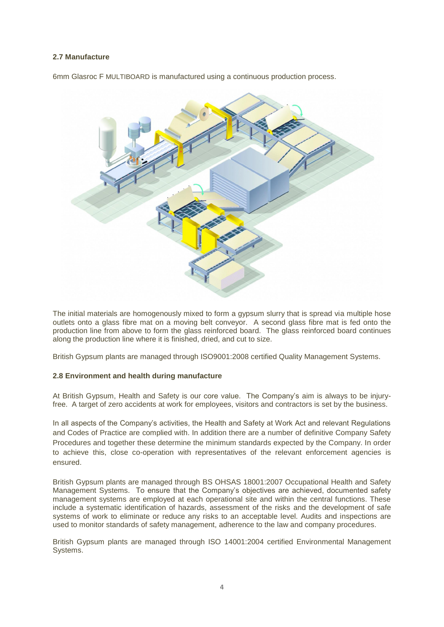#### **2.7 Manufacture**

6mm Glasroc F MULTIBOARD is manufactured using a continuous production process.



The initial materials are homogenously mixed to form a gypsum slurry that is spread via multiple hose outlets onto a glass fibre mat on a moving belt conveyor. A second glass fibre mat is fed onto the production line from above to form the glass reinforced board. The glass reinforced board continues along the production line where it is finished, dried, and cut to size.

British Gypsum plants are managed through ISO9001:2008 certified Quality Management Systems.

#### **2.8 Environment and health during manufacture**

At British Gypsum, Health and Safety is our core value. The Company's aim is always to be injuryfree. A target of zero accidents at work for employees, visitors and contractors is set by the business.

In all aspects of the Company's activities, the Health and Safety at Work Act and relevant Regulations and Codes of Practice are complied with. In addition there are a number of definitive Company Safety Procedures and together these determine the minimum standards expected by the Company. In order to achieve this, close co-operation with representatives of the relevant enforcement agencies is ensured.

British Gypsum plants are managed through BS OHSAS 18001:2007 Occupational Health and Safety Management Systems.To ensure that the Company's objectives are achieved, documented safety management systems are employed at each operational site and within the central functions. These include a systematic identification of hazards, assessment of the risks and the development of safe systems of work to eliminate or reduce any risks to an acceptable level. Audits and inspections are used to monitor standards of safety management, adherence to the law and company procedures.

British Gypsum plants are managed through ISO 14001:2004 certified Environmental Management Systems.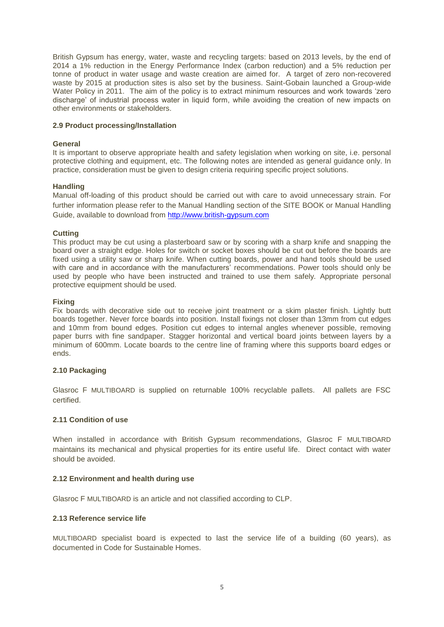British Gypsum has energy, water, waste and recycling targets: based on 2013 levels, by the end of 2014 a 1% reduction in the Energy Performance Index (carbon reduction) and a 5% reduction per tonne of product in water usage and waste creation are aimed for. A target of zero non-recovered waste by 2015 at production sites is also set by the business. Saint-Gobain launched a Group-wide Water Policy in 2011. The aim of the policy is to extract minimum resources and work towards 'zero discharge' of industrial process water in liquid form, while avoiding the creation of new impacts on other environments or stakeholders.

#### **2.9 Product processing/Installation**

#### **General**

It is important to observe appropriate health and safety legislation when working on site, i.e. personal protective clothing and equipment, etc. The following notes are intended as general guidance only. In practice, consideration must be given to design criteria requiring specific project solutions.

#### **Handling**

Manual off-loading of this product should be carried out with care to avoid unnecessary strain. For further information please refer to the Manual Handling section of the SITE BOOK or Manual Handling Guide, available to download from [http://www.british-gypsum.com](http://www.british-gypsum.com/)

#### **Cutting**

This product may be cut using a plasterboard saw or by scoring with a sharp knife and snapping the board over a straight edge. Holes for switch or socket boxes should be cut out before the boards are fixed using a utility saw or sharp knife. When cutting boards, power and hand tools should be used with care and in accordance with the manufacturers' recommendations. Power tools should only be used by people who have been instructed and trained to use them safely. Appropriate personal protective equipment should be used.

#### **Fixing**

Fix boards with decorative side out to receive joint treatment or a skim plaster finish. Lightly butt boards together. Never force boards into position. Install fixings not closer than 13mm from cut edges and 10mm from bound edges. Position cut edges to internal angles whenever possible, removing paper burrs with fine sandpaper. Stagger horizontal and vertical board joints between layers by a minimum of 600mm. Locate boards to the centre line of framing where this supports board edges or ends.

#### **2.10 Packaging**

Glasroc F MULTIBOARD is supplied on returnable 100% recyclable pallets. All pallets are FSC certified.

#### **2.11 Condition of use**

When installed in accordance with British Gypsum recommendations, Glasroc F MULTIBOARD maintains its mechanical and physical properties for its entire useful life. Direct contact with water should be avoided.

#### **2.12 Environment and health during use**

Glasroc F MULTIBOARD is an article and not classified according to CLP.

#### **2.13 Reference service life**

MULTIBOARD specialist board is expected to last the service life of a building (60 years), as documented in Code for Sustainable Homes.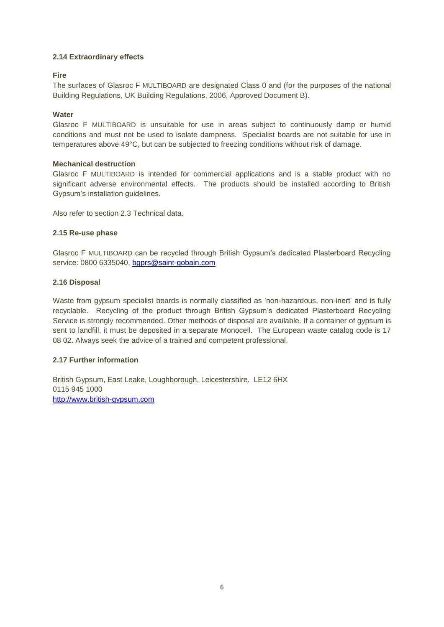#### **2.14 Extraordinary effects**

#### **Fire**

The surfaces of Glasroc F MULTIBOARD are designated Class 0 and (for the purposes of the national Building Regulations, UK Building Regulations, 2006, Approved Document B).

#### **Water**

Glasroc F MULTIBOARD is unsuitable for use in areas subject to continuously damp or humid conditions and must not be used to isolate dampness. Specialist boards are not suitable for use in temperatures above 49°C, but can be subjected to freezing conditions without risk of damage.

#### **Mechanical destruction**

Glasroc F MULTIBOARD is intended for commercial applications and is a stable product with no significant adverse environmental effects. The products should be installed according to British Gypsum's installation guidelines.

Also refer to section 2.3 Technical data.

#### **2.15 Re-use phase**

Glasroc F MULTIBOARD can be recycled through British Gypsum's dedicated Plasterboard Recycling service: 0800 6335040, [bgprs@saint-gobain.com](mailto:bgprs@saint-gobain.com)

#### **2.16 Disposal**

Waste from gypsum specialist boards is normally classified as 'non-hazardous, non-inert' and is fully recyclable. Recycling of the product through British Gypsum's dedicated Plasterboard Recycling Service is strongly recommended. Other methods of disposal are available. If a container of gypsum is sent to landfill, it must be deposited in a separate Monocell. The European waste catalog code is 17 08 02. Always seek the advice of a trained and competent professional.

#### **2.17 Further information**

British Gypsum, East Leake, Loughborough, Leicestershire. LE12 6HX 0115 945 1000 [http://www.british-gypsum.com](http://www.british-gypsum.com/)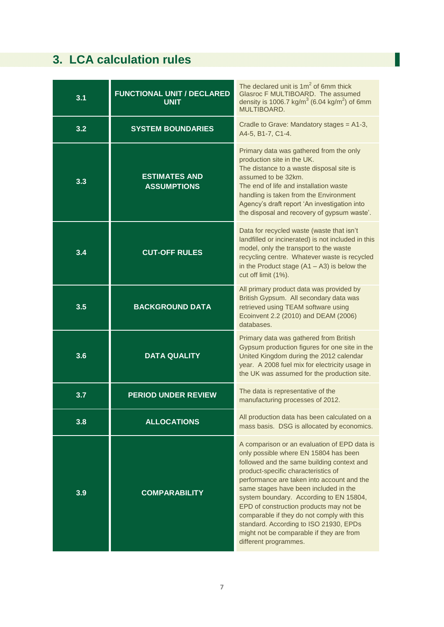# **3. LCA calculation rules**

| 3.1 | <b>FUNCTIONAL UNIT / DECLARED</b><br><b>UNIT</b> | The declared unit is $1m^2$ of 6mm thick<br>Glasroc F MULTIBOARD. The assumed<br>density is 1006.7 kg/m <sup>3</sup> (6.04 kg/m <sup>2</sup> ) of 6mm<br>MULTIBOARD.                                                                                                                                                                                                                                                                                                                                                 |
|-----|--------------------------------------------------|----------------------------------------------------------------------------------------------------------------------------------------------------------------------------------------------------------------------------------------------------------------------------------------------------------------------------------------------------------------------------------------------------------------------------------------------------------------------------------------------------------------------|
| 3.2 | <b>SYSTEM BOUNDARIES</b>                         | Cradle to Grave: Mandatory stages = A1-3,<br>A4-5, B1-7, C1-4.                                                                                                                                                                                                                                                                                                                                                                                                                                                       |
| 3.3 | <b>ESTIMATES AND</b><br><b>ASSUMPTIONS</b>       | Primary data was gathered from the only<br>production site in the UK.<br>The distance to a waste disposal site is<br>assumed to be 32km.<br>The end of life and installation waste<br>handling is taken from the Environment<br>Agency's draft report 'An investigation into<br>the disposal and recovery of gypsum waste'.                                                                                                                                                                                          |
| 3.4 | <b>CUT-OFF RULES</b>                             | Data for recycled waste (waste that isn't<br>landfilled or incinerated) is not included in this<br>model, only the transport to the waste<br>recycling centre. Whatever waste is recycled<br>in the Product stage $(A1 - A3)$ is below the<br>cut off limit (1%).                                                                                                                                                                                                                                                    |
| 3.5 | <b>BACKGROUND DATA</b>                           | All primary product data was provided by<br>British Gypsum. All secondary data was<br>retrieved using TEAM software using<br>Ecoinvent 2.2 (2010) and DEAM (2006)<br>databases.                                                                                                                                                                                                                                                                                                                                      |
| 3.6 | <b>DATA QUALITY</b>                              | Primary data was gathered from British<br>Gypsum production figures for one site in the<br>United Kingdom during the 2012 calendar<br>year. A 2008 fuel mix for electricity usage in<br>the UK was assumed for the production site.                                                                                                                                                                                                                                                                                  |
| 3.7 | <b>PERIOD UNDER REVIEW</b>                       | The data is representative of the<br>manufacturing processes of 2012.                                                                                                                                                                                                                                                                                                                                                                                                                                                |
| 3.8 | <b>ALLOCATIONS</b>                               | All production data has been calculated on a<br>mass basis. DSG is allocated by economics.                                                                                                                                                                                                                                                                                                                                                                                                                           |
| 3.9 | <b>COMPARABILITY</b>                             | A comparison or an evaluation of EPD data is<br>only possible where EN 15804 has been<br>followed and the same building context and<br>product-specific characteristics of<br>performance are taken into account and the<br>same stages have been included in the<br>system boundary. According to EN 15804,<br>EPD of construction products may not be<br>comparable if they do not comply with this<br>standard. According to ISO 21930, EPDs<br>might not be comparable if they are from<br>different programmes. |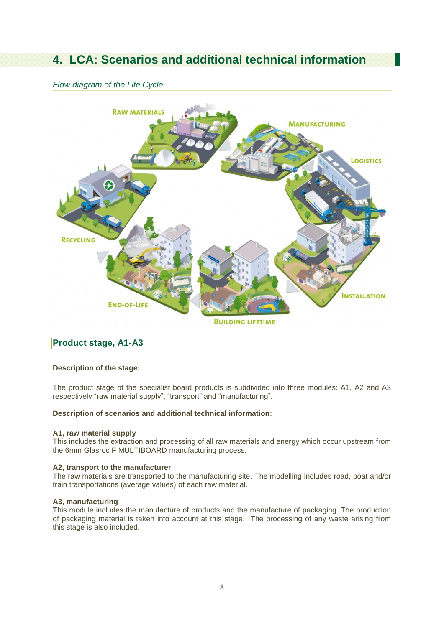## **4. LCA: Scenarios and additional technical information**

#### *Flow diagram of the Life Cycle*



### **Product stage, A1-A3**

#### **Description of the stage:**

The product stage of the specialist board products is subdivided into three modules: A1, A2 and A3 respectively "raw material supply", "transport" and "manufacturing".

#### **Description of scenarios and additional technical information**:

#### **A1, raw material supply**

This includes the extraction and processing of all raw materials and energy which occur upstream from the 6mm Glasroc F MULTIBOARD manufacturing process.

#### **A2, transport to the manufacturer**

The raw materials are transported to the manufacturing site. The modelling includes road, boat and/or train transportations (average values) of each raw material.

#### **A3, manufacturing**

This module includes the manufacture of products and the manufacture of packaging. The production of packaging material is taken into account at this stage. The processing of any waste arising from this stage is also included.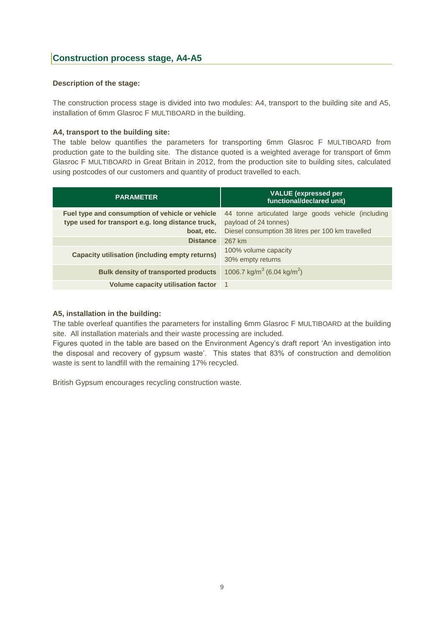#### **Description of the stage:**

The construction process stage is divided into two modules: A4, transport to the building site and A5, installation of 6mm Glasroc F MULTIBOARD in the building.

#### **A4, transport to the building site:**

The table below quantifies the parameters for transporting 6mm Glasroc F MULTIBOARD from production gate to the building site. The distance quoted is a weighted average for transport of 6mm Glasroc F MULTIBOARD in Great Britain in 2012, from the production site to building sites, calculated using postcodes of our customers and quantity of product travelled to each.

| <b>PARAMETER</b>                                                                                                   | <b>VALUE</b> (expressed per<br>functional/declared unit)                                                                          |  |  |  |  |  |  |  |  |
|--------------------------------------------------------------------------------------------------------------------|-----------------------------------------------------------------------------------------------------------------------------------|--|--|--|--|--|--|--|--|
| Fuel type and consumption of vehicle or vehicle<br>type used for transport e.g. long distance truck,<br>boat, etc. | 44 tonne articulated large goods vehicle (including<br>payload of 24 tonnes)<br>Diesel consumption 38 litres per 100 km travelled |  |  |  |  |  |  |  |  |
| <b>Distance</b>                                                                                                    | 267 km                                                                                                                            |  |  |  |  |  |  |  |  |
| <b>Capacity utilisation (including empty returns)</b>                                                              | 100% volume capacity<br>30% empty returns                                                                                         |  |  |  |  |  |  |  |  |
| <b>Bulk density of transported products</b>                                                                        | 1006.7 kg/m <sup>3</sup> (6.04 kg/m <sup>2</sup> )                                                                                |  |  |  |  |  |  |  |  |
| <b>Volume capacity utilisation factor</b>                                                                          | -1                                                                                                                                |  |  |  |  |  |  |  |  |

#### **A5, installation in the building:**

The table overleaf quantifies the parameters for installing 6mm Glasroc F MULTIBOARD at the building site. All installation materials and their waste processing are included.

Figures quoted in the table are based on the Environment Agency's draft report 'An investigation into the disposal and recovery of gypsum waste'. This states that 83% of construction and demolition waste is sent to landfill with the remaining 17% recycled.

British Gypsum encourages recycling construction waste.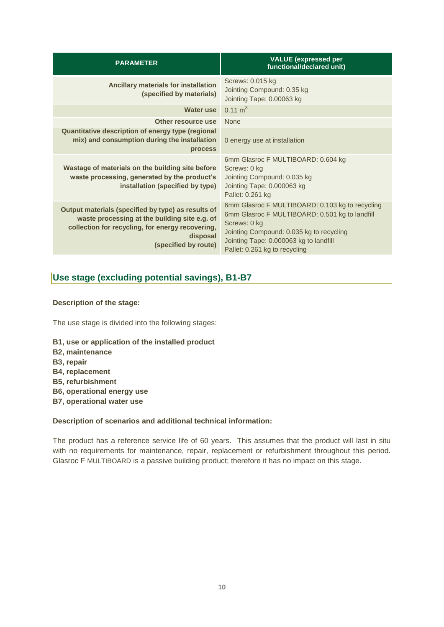| <b>PARAMETER</b>                                                                                                                                                                            | <b>VALUE</b> (expressed per<br>functional/declared unit)                                                                                                                                                                                 |
|---------------------------------------------------------------------------------------------------------------------------------------------------------------------------------------------|------------------------------------------------------------------------------------------------------------------------------------------------------------------------------------------------------------------------------------------|
| Ancillary materials for installation<br>(specified by materials)                                                                                                                            | Screws: 0.015 kg<br>Jointing Compound: 0.35 kg<br>Jointing Tape: 0.00063 kg                                                                                                                                                              |
| Water use                                                                                                                                                                                   | $0.11 \text{ m}^3$                                                                                                                                                                                                                       |
| Other resource use                                                                                                                                                                          | <b>None</b>                                                                                                                                                                                                                              |
| Quantitative description of energy type (regional<br>mix) and consumption during the installation<br><b>process</b>                                                                         | 0 energy use at installation                                                                                                                                                                                                             |
| Wastage of materials on the building site before<br>waste processing, generated by the product's<br>installation (specified by type)                                                        | 6mm Glasroc F MULTIBOARD: 0.604 kg<br>Screws: 0 kg<br>Jointing Compound: 0.035 kg<br>Jointing Tape: 0.000063 kg<br>Pallet: 0.261 kg                                                                                                      |
| Output materials (specified by type) as results of<br>waste processing at the building site e.g. of<br>collection for recycling, for energy recovering,<br>disposal<br>(specified by route) | 6mm Glasroc F MULTIBOARD: 0.103 kg to recycling<br>6mm Glasroc F MULTIBOARD: 0.501 kg to landfill<br>Screws: 0 kg<br>Jointing Compound: 0.035 kg to recycling<br>Jointing Tape: 0.000063 kg to landfill<br>Pallet: 0.261 kg to recycling |

### **Use stage (excluding potential savings), B1-B7**

#### **Description of the stage:**

The use stage is divided into the following stages:

- **B1, use or application of the installed product**
- **B2, maintenance**
- **B3, repair**
- **B4, replacement**
- **B5, refurbishment**
- **B6, operational energy use**
- **B7, operational water use**

#### **Description of scenarios and additional technical information:**

The product has a reference service life of 60 years. This assumes that the product will last in situ with no requirements for maintenance, repair, replacement or refurbishment throughout this period. Glasroc F MULTIBOARD is a passive building product; therefore it has no impact on this stage.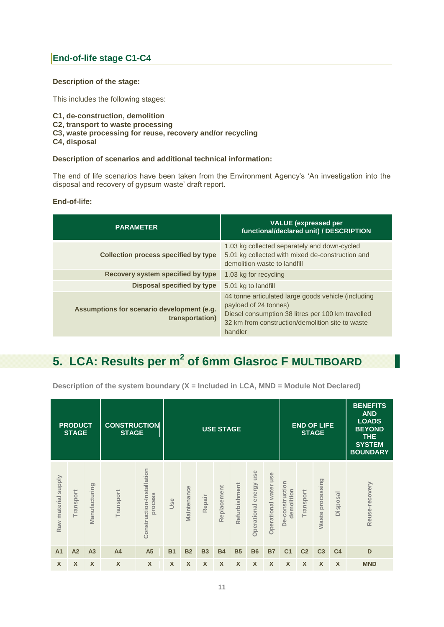### **End-of-life stage C1-C4**

#### **Description of the stage:**

This includes the following stages:

- **C1, de-construction, demolition**
- **C2, transport to waste processing**
- **C3, waste processing for reuse, recovery and/or recycling**
- **C4, disposal**

#### **Description of scenarios and additional technical information:**

The end of life scenarios have been taken from the Environment Agency's 'An investigation into the disposal and recovery of gypsum waste' draft report.

#### **End-of-life:**

| <b>PARAMETER</b>                                              | <b>VALUE</b> (expressed per<br>functional/declared unit) / DESCRIPTION                                                                                                                           |
|---------------------------------------------------------------|--------------------------------------------------------------------------------------------------------------------------------------------------------------------------------------------------|
| <b>Collection process specified by type</b>                   | 1.03 kg collected separately and down-cycled<br>5.01 kg collected with mixed de-construction and<br>demolition waste to landfill                                                                 |
| Recovery system specified by type                             | 1.03 kg for recycling                                                                                                                                                                            |
| Disposal specified by type                                    | 5.01 kg to landfill                                                                                                                                                                              |
| Assumptions for scenario development (e.g.<br>transportation) | 44 tonne articulated large goods vehicle (including<br>payload of 24 tonnes)<br>Diesel consumption 38 litres per 100 km travelled<br>32 km from construction/demolition site to waste<br>handler |

## **5. LCA: Results per m<sup>2</sup> of 6mm Glasroc F MULTIBOARD**

|                               | <b>PRODUCT</b><br><b>STAGE</b> |                | <b>CONSTRUCTION</b><br><b>STAGE</b> |                                      |           |             |           | <b>USE STAGE</b> |               |                              |                       |                               |                  | <b>END OF LIFE</b><br><b>STAGE</b> | <b>BENEFITS</b><br><b>AND</b><br><b>LOADS</b><br><b>BEYOND</b><br><b>THE</b><br><b>SYSTEM</b><br><b>BOUNDARY</b> |                |
|-------------------------------|--------------------------------|----------------|-------------------------------------|--------------------------------------|-----------|-------------|-----------|------------------|---------------|------------------------------|-----------------------|-------------------------------|------------------|------------------------------------|------------------------------------------------------------------------------------------------------------------|----------------|
| <b>Supply</b><br>Raw material | <b>Transport</b>               | Manufacturing  | Transport                           | Construction-Installation<br>process | Use       | Maintenance | Repair    | Replacement      | Refurbishment | use<br>energy<br>Operational | Operational water use | De-construction<br>demolition | <b>Transport</b> | Waste processing                   | Disposal                                                                                                         | Reuse-recovery |
| A <sub>1</sub>                | A2                             | A <sub>3</sub> | A <sub>4</sub>                      | A <sub>5</sub>                       | <b>B1</b> | <b>B2</b>   | <b>B3</b> | <b>B4</b>        | <b>B5</b>     | <b>B6</b>                    | <b>B7</b>             | C <sub>1</sub>                | C <sub>2</sub>   | C <sub>3</sub>                     | C <sub>4</sub>                                                                                                   | D              |
| X                             | X                              | X              | $\boldsymbol{\mathsf{x}}$           | X                                    | X         | X           | X         | X                | X             | X                            | X                     | X                             | X                | X                                  | $\boldsymbol{\mathsf{x}}$                                                                                        | <b>MND</b>     |

**Description of the system boundary (X = Included in LCA, MND = Module Not Declared)**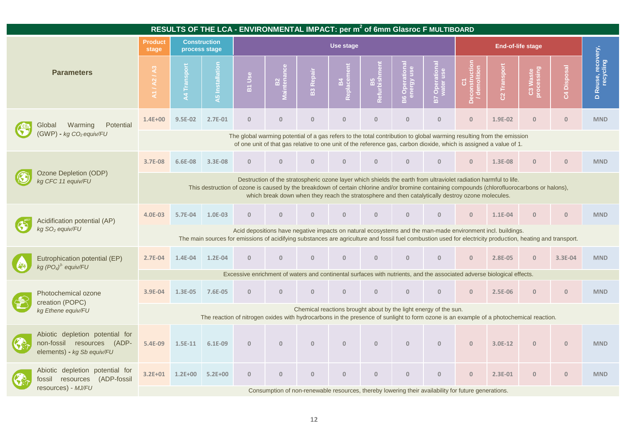| RESULTS OF THE LCA - ENVIRONMENTAL IMPACT: per m <sup>2</sup> of 6mm Glasroc F MULTIBOARD         |                                                                                                                                                                                                                                                                          |                                                                                                                                                                                                                                                                                                                                                                        |                                      |                                                                                                                                        |              |                        |              |              |              |                                                                                                     |                |               |                          |                     |                                       |
|---------------------------------------------------------------------------------------------------|--------------------------------------------------------------------------------------------------------------------------------------------------------------------------------------------------------------------------------------------------------------------------|------------------------------------------------------------------------------------------------------------------------------------------------------------------------------------------------------------------------------------------------------------------------------------------------------------------------------------------------------------------------|--------------------------------------|----------------------------------------------------------------------------------------------------------------------------------------|--------------|------------------------|--------------|--------------|--------------|-----------------------------------------------------------------------------------------------------|----------------|---------------|--------------------------|---------------------|---------------------------------------|
|                                                                                                   | <b>Product</b><br>stage                                                                                                                                                                                                                                                  |                                                                                                                                                                                                                                                                                                                                                                        | <b>Construction</b><br>process stage | Use stage                                                                                                                              |              |                        |              |              |              |                                                                                                     |                |               | <b>End-of-life stage</b> |                     |                                       |
| <b>Parameters</b>                                                                                 | A1/A2                                                                                                                                                                                                                                                                    |                                                                                                                                                                                                                                                                                                                                                                        | $\overline{c}$<br><b>A5</b> Install  | B1 Use                                                                                                                                 |              | Repair<br>$\mathbf{a}$ |              |              | $\circ$      | $\circ$<br>品                                                                                        |                | Transpor<br>8 | និ                       | ä<br>$\mathfrak{L}$ | D Reuse, recovery,<br>______recycling |
| Potential<br>Global<br>Warming                                                                    | $1.4E + 00$                                                                                                                                                                                                                                                              | 9.5E-02                                                                                                                                                                                                                                                                                                                                                                | 2.7E-01                              | $\mathbf{0}$                                                                                                                           | $\mathbf{0}$ | $\mathbf{0}$           | $\Omega$     | $\Omega$     | $\Omega$     | $\Omega$                                                                                            | $\overline{0}$ | 1.9E-02       | $\Omega$                 | $\mathbf{0}$        | <b>MND</b>                            |
| $(GWP)$ - kg $CO2$ equiv/FU                                                                       |                                                                                                                                                                                                                                                                          | The global warming potential of a gas refers to the total contribution to global warming resulting from the emission<br>of one unit of that gas relative to one unit of the reference gas, carbon dioxide, which is assigned a value of 1.                                                                                                                             |                                      |                                                                                                                                        |              |                        |              |              |              |                                                                                                     |                |               |                          |                     |                                       |
|                                                                                                   | 3.7E-08                                                                                                                                                                                                                                                                  | 6.6E-08                                                                                                                                                                                                                                                                                                                                                                | 3.3E-08                              | $\Omega$                                                                                                                               | $\Omega$     | $\mathbf{0}$           | $\Omega$     | $\mathbf{0}$ | $\Omega$     | $\Omega$                                                                                            | $\mathbf{0}$   | 1.3E-08       | $\Omega$                 | $\mathbf{0}$        | <b>MND</b>                            |
| Ozone Depletion (ODP)<br>kg CFC 11 equiv/FU                                                       |                                                                                                                                                                                                                                                                          | Destruction of the stratospheric ozone layer which shields the earth from ultraviolet radiation harmful to life.<br>This destruction of ozone is caused by the breakdown of certain chlorine and/or bromine containing compounds (chlorofluorocarbons or halons),<br>which break down when they reach the stratosphere and then catalytically destroy ozone molecules. |                                      |                                                                                                                                        |              |                        |              |              |              |                                                                                                     |                |               |                          |                     |                                       |
| Acidification potential (AP)                                                                      | 4.0E-03                                                                                                                                                                                                                                                                  | 5.7E-04                                                                                                                                                                                                                                                                                                                                                                | 1.0E-03                              | $\mathbf{0}$                                                                                                                           | $\Omega$     | $\mathbf{0}$           | $\mathbf{0}$ | $\Omega$     | $\Omega$     | $\Omega$                                                                                            | $\Omega$       | 1.1E-04       |                          | $\mathbf{0}$        | <b>MND</b>                            |
| kg SO <sub>2</sub> equiv/FU                                                                       | Acid depositions have negative impacts on natural ecosystems and the man-made environment incl. buildings.<br>The main sources for emissions of acidifying substances are agriculture and fossil fuel combustion used for electricity production, heating and transport. |                                                                                                                                                                                                                                                                                                                                                                        |                                      |                                                                                                                                        |              |                        |              |              |              |                                                                                                     |                |               |                          |                     |                                       |
| Eutrophication potential (EP)<br>kg $(PO4)3$ equiv/FU                                             | 2.7E-04                                                                                                                                                                                                                                                                  | 1.4E-04                                                                                                                                                                                                                                                                                                                                                                | $1.2E-04$                            | $\Omega$                                                                                                                               | $\Omega$     | $\Omega$               | $\Omega$     | $\Omega$     | $\Omega$     | $\overline{0}$                                                                                      | $\overline{0}$ | 2.8E-05       | $\Omega$                 | 3.3E-04             | <b>MND</b>                            |
|                                                                                                   |                                                                                                                                                                                                                                                                          |                                                                                                                                                                                                                                                                                                                                                                        |                                      | Excessive enrichment of waters and continental surfaces with nutrients, and the associated adverse biological effects.                 |              |                        |              |              |              |                                                                                                     |                |               |                          |                     |                                       |
| Photochemical ozone<br>creation (POPC)                                                            | 3.9E-04                                                                                                                                                                                                                                                                  | 1.3E-05                                                                                                                                                                                                                                                                                                                                                                | 7.6E-05                              | $\mathbf{0}$                                                                                                                           | $\mathbf{0}$ | $\mathbf{0}$           | $\mathbf{0}$ | $\mathbf{0}$ | $\mathbf{0}$ | $\mathbf{0}$                                                                                        | $\mathbf{0}$   | 2.5E-06       | $\mathbf{0}$             | $\overline{0}$      | <b>MND</b>                            |
| kg Ethene equiv/FU                                                                                |                                                                                                                                                                                                                                                                          |                                                                                                                                                                                                                                                                                                                                                                        |                                      | The reaction of nitrogen oxides with hydrocarbons in the presence of sunlight to form ozone is an example of a photochemical reaction. |              |                        |              |              |              | Chemical reactions brought about by the light energy of the sun.                                    |                |               |                          |                     |                                       |
| Abiotic depletion potential for<br>non-fossil resources<br>$(ADP -$<br>elements) - kg Sb equiv/FU | 5.4E-09                                                                                                                                                                                                                                                                  | $1.5E-11$                                                                                                                                                                                                                                                                                                                                                              | $6.1E-09$                            | $\Omega$                                                                                                                               | $\mathbf{0}$ | $\Omega$               | $\Omega$     | $\Omega$     | $\cap$       | $\Omega$                                                                                            | $\Omega$       | 3.0E-12       | $\Omega$                 | $\overline{0}$      | <b>MND</b>                            |
| Abiotic depletion potential for<br>(ADP-fossil<br>fossil resources                                |                                                                                                                                                                                                                                                                          | 3.2E+01 1.2E+00                                                                                                                                                                                                                                                                                                                                                        | $5.2E + 00$                          | $\mathbf{0}$                                                                                                                           | $\mathbf{0}$ | $\mathbf{0}$           | $\mathbf{0}$ | $\mathbf{0}$ | $\mathbf{0}$ | $\Omega$                                                                                            | $\mathbf{0}$   | 2.3E-01       | $\mathbf{0}$             | $\mathbf{0}$        | <b>MND</b>                            |
| resources) - MJ/FU                                                                                |                                                                                                                                                                                                                                                                          |                                                                                                                                                                                                                                                                                                                                                                        |                                      |                                                                                                                                        |              |                        |              |              |              | Consumption of non-renewable resources, thereby lowering their availability for future generations. |                |               |                          |                     |                                       |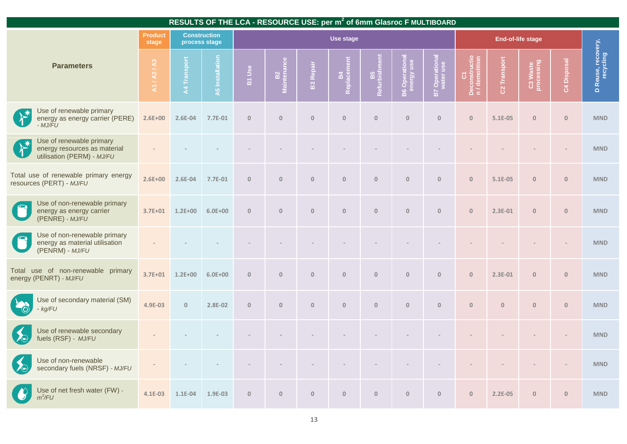| RESULTS OF THE LCA - RESOURCE USE: per m <sup>2</sup> of 6mm Glasroc F MULTIBOARD                       |                         |              |                                      |              |                   |                  |                          |                   |                      |                      |                                       |                |                        |                |                                         |  |
|---------------------------------------------------------------------------------------------------------|-------------------------|--------------|--------------------------------------|--------------|-------------------|------------------|--------------------------|-------------------|----------------------|----------------------|---------------------------------------|----------------|------------------------|----------------|-----------------------------------------|--|
|                                                                                                         | <b>Product</b><br>stage |              | <b>Construction</b><br>process stage |              |                   |                  | Use stage                |                   |                      |                      |                                       |                | End-of-life stage      |                |                                         |  |
| <b>Parameters</b>                                                                                       | A1/A2/A3                | A4 Transport | A5 Installation                      | B1 Use       | B2<br>Maintenance | <b>B3 Repair</b> | <b>B4</b><br>Replacement | B5<br>Refurbishme | Opera<br>nergy<br>B6 | vater use<br>B7 Open | C1<br>Deconstructio<br>n / demolition | Transport<br>8 | C3 Waste<br>processing | C4 Disposal    | Reuse, recovery,<br>recycling<br>$\Box$ |  |
| Use of renewable primary<br>energy as energy carrier (PERE)<br>- MJ/FU                                  | $2.6E + 00$             | 2.6E-04      | 7.7E-01                              | $\mathbb O$  | $\mathbf{0}$      | $\mathbf{0}$     | $\mathbf{0}$             | $\mathbf{0}$      | $\mathbf{0}$         | $\mathbf{0}$         | $\overline{0}$                        | 5.1E-05        | $\overline{0}$         | $\overline{0}$ | <b>MND</b>                              |  |
| Use of renewable primary<br><b>CALLES</b><br>energy resources as material<br>utilisation (PERM) - MJ/FU |                         |              |                                      |              |                   |                  |                          |                   |                      |                      |                                       |                |                        |                | <b>MND</b>                              |  |
| Total use of renewable primary energy<br>resources (PERT) - MJ/FU                                       | $2.6E + 00$             | 2.6E-04      | 7.7E-01                              | $\mathbf{0}$ | $\mathbf{0}$      | $\mathbf{0}$     | $\mathbf{0}$             | $\mathbf{0}$      | $\mathbf{0}$         | $\mathbf{0}$         | $\mathbf{0}$                          | $5.1E-05$      | $\mathbf{0}$           | $\overline{0}$ | <b>MND</b>                              |  |
| Use of non-renewable primary<br>energy as energy carrier<br>$(PENRE) - MJ/FU$                           | $3.7E + 01$             | $1.2E + 00$  | $6.0E + 00$                          | $\mathbf{0}$ | $\mathbf{0}$      | $\mathbf{0}$     | $\mathbf{0}$             | $\mathbf{0}$      | $\mathbf{0}$         | $\mathbf{0}$         | $\mathbf{0}$                          | 2.3E-01        | $\mathbf{0}$           | $\overline{0}$ | <b>MND</b>                              |  |
| Use of non-renewable primary<br>energy as material utilisation<br>(PENRM) - MJ/FU                       |                         |              |                                      |              |                   |                  |                          |                   |                      |                      |                                       |                |                        |                | <b>MND</b>                              |  |
| use of non-renewable primary<br>Total<br>energy (PENRT) - MJ/FU                                         | $3.7E + 01$             | $1.2E + 00$  | $6.0E + 00$                          | $\mathbb O$  | $\mathbf{0}$      | $\bf 0$          | $\mathbb O$              | $\bf 0$           | $\bf 0$              | $\mathbf{0}$         | $\mathbf{0}$                          | 2.3E-01        | $\overline{0}$         | $\overline{0}$ | <b>MND</b>                              |  |
| Use of secondary material (SM)<br>kg/FU                                                                 | 4.9E-03                 | $\mathbf{0}$ | 2.8E-02                              | $\mathbf{0}$ | $\mathbf{0}$      | $\mathbf{0}$     | $\mathbf{0}$             | $\mathbf{0}$      | $\mathbf{0}$         | $\mathbf{0}$         | $\mathbf{0}$                          | $\mathbf{0}$   | $\overline{0}$         | $\overline{0}$ | <b>MND</b>                              |  |
| Use of renewable secondary<br>fuels (RSF) - MJ/FU                                                       |                         |              |                                      |              |                   |                  |                          |                   |                      |                      |                                       |                |                        |                | <b>MND</b>                              |  |
| Use of non-renewable<br>secondary fuels (NRSF) - MJ/FU                                                  |                         |              |                                      |              |                   |                  |                          |                   |                      |                      |                                       |                |                        |                | <b>MND</b>                              |  |
| Use of net fresh water (FW) -<br>$m^3$ /FU                                                              | 4.1E-03                 | $1.1E-04$    | 1.9E-03                              | $\mathbf{0}$ | $\mathbf{0}$      | $\mathbf{0}$     | $\mathbf{0}$             | $\mathbf{0}$      | $\mathbf{0}$         | $\mathbf{0}$         | $\mathbf{0}$                          | $2.2E-05$      | $\overline{0}$         | $\mathbf{0}$   | <b>MND</b>                              |  |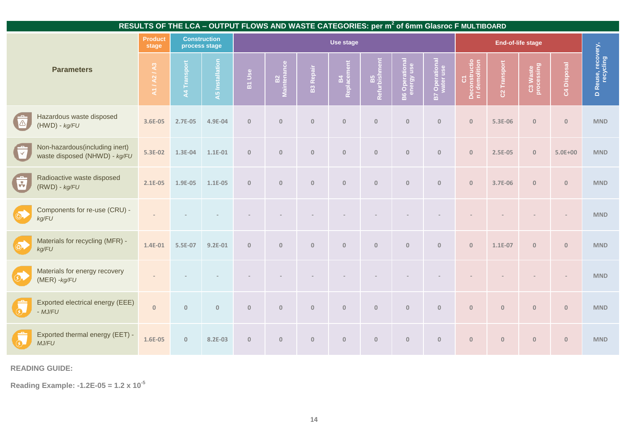|                         |                                                                 |                         |              |                                      | RESULTS OF THE LCA - OUTPUT FLOWS AND WASTE CATEGORIES: per m <sup>2</sup> of 6mm Glasroc F MULTIBOARD |                   |                  |                   |                     |                                     |                       |                               |                          |                        |              |                                         |
|-------------------------|-----------------------------------------------------------------|-------------------------|--------------|--------------------------------------|--------------------------------------------------------------------------------------------------------|-------------------|------------------|-------------------|---------------------|-------------------------------------|-----------------------|-------------------------------|--------------------------|------------------------|--------------|-----------------------------------------|
|                         |                                                                 | <b>Product</b><br>stage |              | <b>Construction</b><br>process stage | Use stage                                                                                              |                   |                  |                   |                     |                                     |                       |                               | End-of-life stage        |                        |              |                                         |
| <b>Parameters</b>       |                                                                 | A1/A2/A3                | A4 Transport | <b>A5</b> Installation               | B1 Use                                                                                                 | B2<br>Maintenance | <b>B3 Repair</b> | B4<br>Replacement | B5<br>Refurbishment | <b>B6 Operational</b><br>energy use | <b>B7 Operational</b> | Deconstructio<br>n/demolition | C <sub>2</sub> Transport | C3 Waste<br>processing | C4 Disposal  | Reuse, recovery,<br>Lecycling<br>$\Box$ |
| $\Delta$                | Hazardous waste disposed<br>$(HWD) - kg/FU$                     | 3.6E-05                 | 2.7E-05      | 4.9E-04                              | $\mathbf{0}$                                                                                           | $\mathbf{0}$      | $\mathbf{0}$     | $\mathbf{0}$      | $\mathbf{0}$        | $\overline{0}$                      | $\mathbf{0}$          | $\mathbf{0}$                  | 5.3E-06                  | $\mathbf{0}$           | $\mathbf{0}$ | <b>MND</b>                              |
| $\blacksquare$          | Non-hazardous(including inert)<br>waste disposed (NHWD) - kg/FU | 5.3E-02                 | 1.3E-04      | 1.1E-01                              | $\mathbf{0}$                                                                                           | $\mathbb O$       | $\mathbf{0}$     | $\mathbb O$       | $\mathbb O$         | $\overline{0}$                      | $\mathbf{0}$          | $\mathbf{0}$                  | 2.5E-05                  | $\mathbf{0}$           | $5.0E + 00$  | <b>MND</b>                              |
| $\overline{\mathbf{E}}$ | Radioactive waste disposed<br>$(RWD) - kg/FU$                   | 2.1E-05                 | 1.9E-05      | 1.1E-05                              | $\mathbf 0$                                                                                            | $\mathbb O$       | $\mathbf{0}$     | $\mathbf{0}$      | $\mathbf{0}$        | $\overline{0}$                      | $\mathbf{0}$          | $\mathbf{0}$                  | 3.7E-06                  | $\mathbf{0}$           | $\mathbf 0$  | <b>MND</b>                              |
| $\circledcirc$          | Components for re-use (CRU) -<br>kg/FU                          |                         |              |                                      |                                                                                                        |                   |                  |                   |                     |                                     |                       |                               |                          |                        |              | <b>MND</b>                              |
| $\bigcirc$ .            | Materials for recycling (MFR) -<br>kg/FU                        | 1.4E-01                 | 5.5E-07      | $9.2E-01$                            | $\mathbf{0}$                                                                                           | $\mathbb O$       | $\mathbf{0}$     | $\mathbf{0}$      | $\mathbf{0}$        | $\overline{0}$                      | $\mathbf{0}$          | $\mathbf{0}$                  | 1.1E-07                  | $\mathbf{0}$           | $\mathbb O$  | <b>MND</b>                              |
| $\circledcirc$          | Materials for energy recovery<br>$(MER) - kg/FU$                |                         |              |                                      |                                                                                                        |                   |                  |                   |                     |                                     |                       |                               |                          |                        |              | <b>MND</b>                              |
| $\circledcirc$          | Exported electrical energy (EEE)<br>- MJ/FU                     | $\mathbf{0}$            | $\mathbf 0$  | $\mathbf{0}$                         | $\mathbf{0}$                                                                                           | $\mathbf{0}$      | $\mathbf{0}$     | $\mathbf{0}$      | $\mathbf{0}$        | $\overline{0}$                      | $\mathbf{0}$          | $\mathbf{0}$                  | $\mathbb O$              | $\mathbf{0}$           | $\mathbf{0}$ | <b>MND</b>                              |
| $\circled{s}$           | Exported thermal energy (EET) -<br>MJ/FU                        | 1.6E-05                 | $\mathbf{0}$ | 8.2E-03                              | $\mathbf{0}$                                                                                           | $\bf 0$           | $\mathbf 0$      | $\bf 0$           | $\bf 0$             | $\overline{0}$                      | $\mathbf 0$           | $\pmb{0}$                     | $\overline{0}$           | $\bf 0$                | $\mathbf{0}$ | <b>MND</b>                              |

**READING GUIDE:**

**Reading Example: -1.2E-05 = 1.2 x 10-5**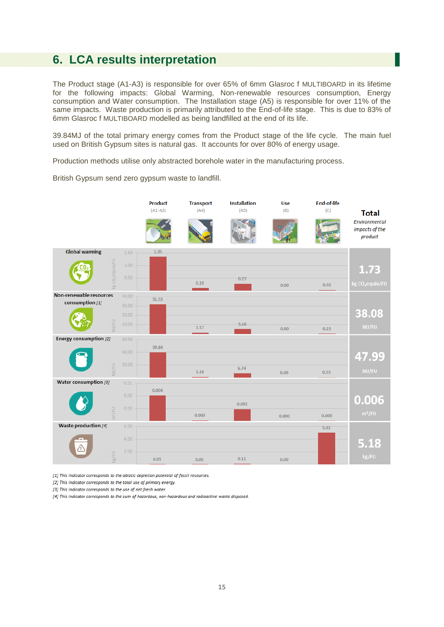### **6. LCA results interpretation**

The Product stage (A1-A3) is responsible for over 65% of 6mm Glasroc f MULTIBOARD in its lifetime for the following impacts: Global Warming, Non-renewable resources consumption, Energy consumption and Water consumption. The Installation stage (A5) is responsible for over 11% of the same impacts. Waste production is primarily attributed to the End-of-life stage. This is due to 83% of 6mm Glasroc f MULTIBOARD modelled as being landfilled at the end of its life.

39.84MJ of the total primary energy comes from the Product stage of the life cycle. The main fuel used on British Gypsum sites is natural gas. It accounts for over 80% of energy usage.

Production methods utilise only abstracted borehole water in the manufacturing process.



British Gypsum send zero gypsum waste to landfill.

[1] This indicator corresponds to the abiotic depletion potential of fossil resources.

[2] This indicator corresponds to the total use of primary energy.

[3] This indicator corresponds to the use of net fresh water.

[4] This indicator corresponds to the sum of hazardous, non-hazardous and radioactive waste disposed.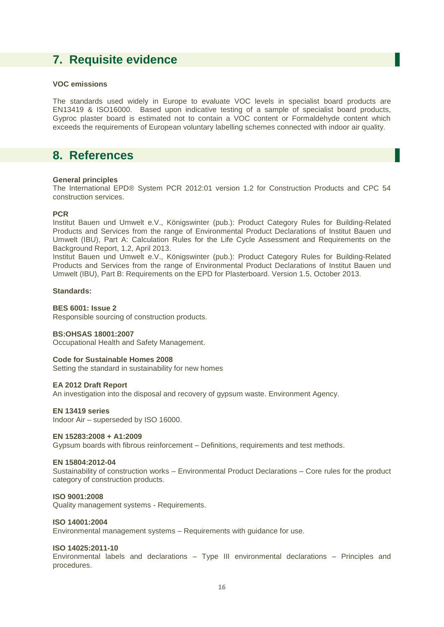## **7. Requisite evidence**

#### **VOC emissions**

The standards used widely in Europe to evaluate VOC levels in specialist board products are EN13419 & ISO16000. Based upon indicative testing of a sample of specialist board products, Gyproc plaster board is estimated not to contain a VOC content or Formaldehyde content which exceeds the requirements of European voluntary labelling schemes connected with indoor air quality.

### **8. References**

#### **General principles**

The International EPD® System PCR 2012:01 version 1.2 for Construction Products and CPC 54 construction services.

#### **PCR**

Institut Bauen und Umwelt e.V., Königswinter (pub.): Product Category Rules for Building-Related Products and Services from the range of Environmental Product Declarations of Institut Bauen und Umwelt (IBU), Part A: Calculation Rules for the Life Cycle Assessment and Requirements on the Background Report, 1.2, April 2013.

Institut Bauen und Umwelt e.V., Königswinter (pub.): Product Category Rules for Building-Related Products and Services from the range of Environmental Product Declarations of Institut Bauen und Umwelt (IBU), Part B: Requirements on the EPD for Plasterboard. Version 1.5, October 2013.

#### **Standards:**

#### **BES 6001: Issue 2**

Responsible sourcing of construction products.

#### **BS:OHSAS 18001:2007**

Occupational Health and Safety Management.

#### **Code for Sustainable Homes 2008**

Setting the standard in sustainability for new homes

#### **EA 2012 Draft Report**

An investigation into the disposal and recovery of gypsum waste. Environment Agency.

#### **EN 13419 series**

Indoor Air – superseded by ISO 16000.

#### **EN 15283:2008 + A1:2009**

Gypsum boards with fibrous reinforcement – Definitions, requirements and test methods.

#### **EN 15804:2012-04**

Sustainability of construction works – Environmental Product Declarations – Core rules for the product category of construction products.

#### **ISO 9001:2008**

Quality management systems - Requirements.

#### **ISO 14001:2004**

Environmental management systems – Requirements with guidance for use.

#### **ISO 14025:2011-10**

Environmental labels and declarations – Type III environmental declarations – Principles and procedures.